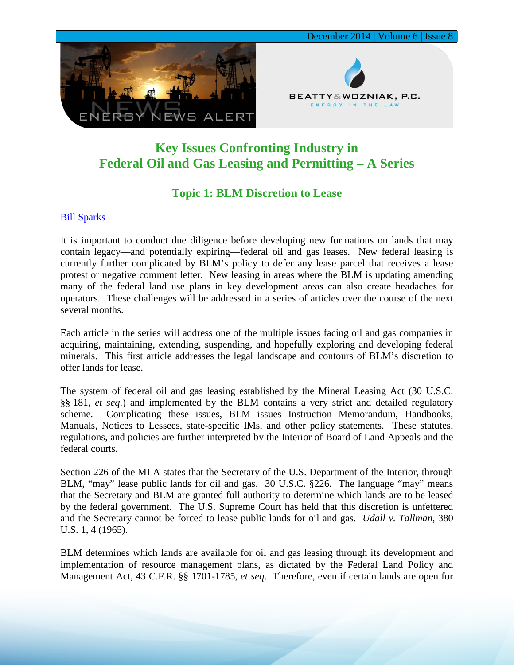

## **Key Issues Confronting Industry in Federal Oil and Gas Leasing and Permitting – A Series**

## **Topic 1: BLM Discretion to Lease**

## [Bill Sparks](http://www.bwenergylaw.com/%23!william-sparks/c1ynl)

It is important to conduct due diligence before developing new formations on lands that may contain legacy—and potentially expiring—federal oil and gas leases. New federal leasing is currently further complicated by BLM's policy to defer any lease parcel that receives a lease protest or negative comment letter. New leasing in areas where the BLM is updating amending many of the federal land use plans in key development areas can also create headaches for operators. These challenges will be addressed in a series of articles over the course of the next several months.

Each article in the series will address one of the multiple issues facing oil and gas companies in acquiring, maintaining, extending, suspending, and hopefully exploring and developing federal minerals. This first article addresses the legal landscape and contours of BLM's discretion to offer lands for lease.

The system of federal oil and gas leasing established by the Mineral Leasing Act (30 U.S.C. §§ 181, *et seq*.) and implemented by the BLM contains a very strict and detailed regulatory scheme. Complicating these issues, BLM issues Instruction Memorandum, Handbooks, Manuals, Notices to Lessees, state-specific IMs, and other policy statements. These statutes, regulations, and policies are further interpreted by the Interior of Board of Land Appeals and the federal courts.

Section 226 of the MLA states that the Secretary of the U.S. Department of the Interior, through BLM, "may" lease public lands for oil and gas. 30 U.S.C. §226. The language "may" means that the Secretary and BLM are granted full authority to determine which lands are to be leased by the federal government. The U.S. Supreme Court has held that this discretion is unfettered and the Secretary cannot be forced to lease public lands for oil and gas. *Udall v. Tallman*, 380 U.S. 1, 4 (1965).

BLM determines which lands are available for oil and gas leasing through its development and implementation of resource management plans, as dictated by the Federal Land Policy and Management Act, 43 C.F.R. §§ 1701-1785, *et seq*. Therefore, even if certain lands are open for